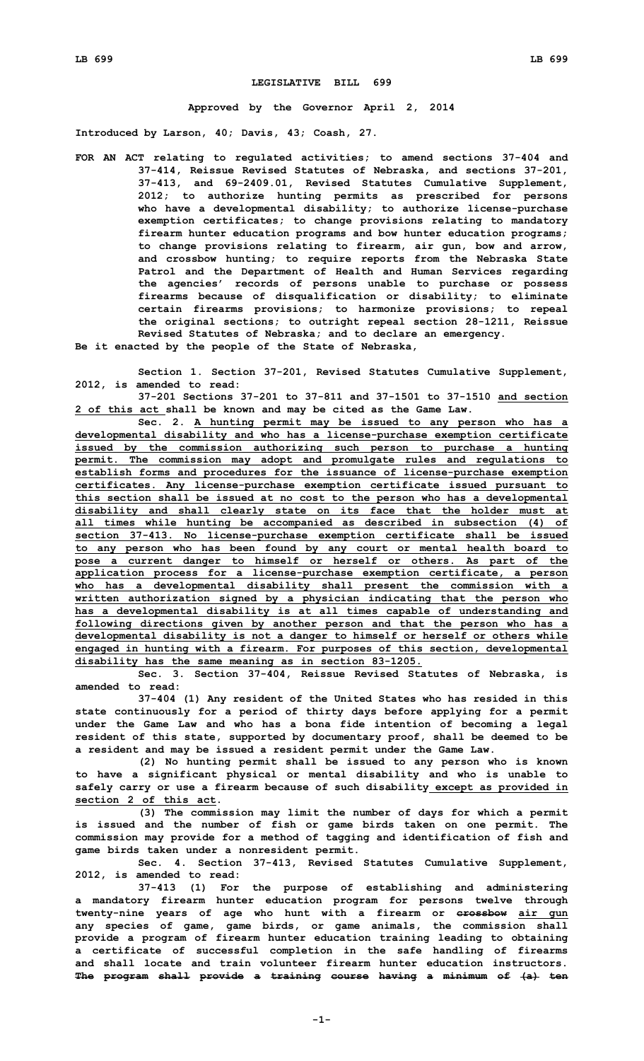## **LEGISLATIVE BILL 699**

## **Approved by the Governor April 2, 2014**

**Introduced by Larson, 40; Davis, 43; Coash, 27.**

- **FOR AN ACT relating to regulated activities; to amend sections 37-404 and 37-414, Reissue Revised Statutes of Nebraska, and sections 37-201, 37-413, and 69-2409.01, Revised Statutes Cumulative Supplement, 2012; to authorize hunting permits as prescribed for persons who have <sup>a</sup> developmental disability; to authorize license-purchase exemption certificates; to change provisions relating to mandatory firearm hunter education programs and bow hunter education programs; to change provisions relating to firearm, air gun, bow and arrow, and crossbow hunting; to require reports from the Nebraska State Patrol and the Department of Health and Human Services regarding the agencies' records of persons unable to purchase or possess firearms because of disqualification or disability; to eliminate certain firearms provisions; to harmonize provisions; to repeal the original sections; to outright repeal section 28-1211, Reissue Revised Statutes of Nebraska; and to declare an emergency.**
- **Be it enacted by the people of the State of Nebraska,**

**Section 1. Section 37-201, Revised Statutes Cumulative Supplement, 2012, is amended to read:**

**37-201 Sections 37-201 to 37-811 and 37-1501 to 37-1510 and section 2 of this act shall be known and may be cited as the Game Law.**

**Sec. 2. <sup>A</sup> hunting permit may be issued to any person who has <sup>a</sup> developmental disability and who has <sup>a</sup> license-purchase exemption certificate issued by the commission authorizing such person to purchase <sup>a</sup> hunting permit. The commission may adopt and promulgate rules and regulations to establish forms and procedures for the issuance of license-purchase exemption certificates. Any license-purchase exemption certificate issued pursuant to this section shall be issued at no cost to the person who has <sup>a</sup> developmental disability and shall clearly state on its face that the holder must at all times while hunting be accompanied as described in subsection (4) of section 37-413. No license-purchase exemption certificate shall be issued to any person who has been found by any court or mental health board to pose <sup>a</sup> current danger to himself or herself or others. As part of the application process for <sup>a</sup> license-purchase exemption certificate, <sup>a</sup> person who has <sup>a</sup> developmental disability shall present the commission with <sup>a</sup> written authorization signed by <sup>a</sup> physician indicating that the person who has <sup>a</sup> developmental disability is at all times capable of understanding and following directions given by another person and that the person who has <sup>a</sup> developmental disability is not <sup>a</sup> danger to himself or herself or others while engaged in hunting with <sup>a</sup> firearm. For purposes of this section, developmental disability has the same meaning as in section 83-1205.**

**Sec. 3. Section 37-404, Reissue Revised Statutes of Nebraska, is amended to read:**

**37-404 (1) Any resident of the United States who has resided in this state continuously for <sup>a</sup> period of thirty days before applying for <sup>a</sup> permit under the Game Law and who has <sup>a</sup> bona fide intention of becoming <sup>a</sup> legal resident of this state, supported by documentary proof, shall be deemed to be <sup>a</sup> resident and may be issued <sup>a</sup> resident permit under the Game Law.**

**(2) No hunting permit shall be issued to any person who is known to have <sup>a</sup> significant physical or mental disability and who is unable to safely carry or use <sup>a</sup> firearm because of such disability except as provided in section 2 of this act.**

**(3) The commission may limit the number of days for which <sup>a</sup> permit is issued and the number of fish or game birds taken on one permit. The commission may provide for <sup>a</sup> method of tagging and identification of fish and game birds taken under <sup>a</sup> nonresident permit.**

**Sec. 4. Section 37-413, Revised Statutes Cumulative Supplement, 2012, is amended to read:**

**37-413 (1) For the purpose of establishing and administering <sup>a</sup> mandatory firearm hunter education program for persons twelve through twenty-nine years of age who hunt with <sup>a</sup> firearm or crossbow air gun any species of game, game birds, or game animals, the commission shall provide <sup>a</sup> program of firearm hunter education training leading to obtaining <sup>a</sup> certificate of successful completion in the safe handling of firearms and shall locate and train volunteer firearm hunter education instructors. The program shall provide <sup>a</sup> training course having <sup>a</sup> minimum of (a) ten**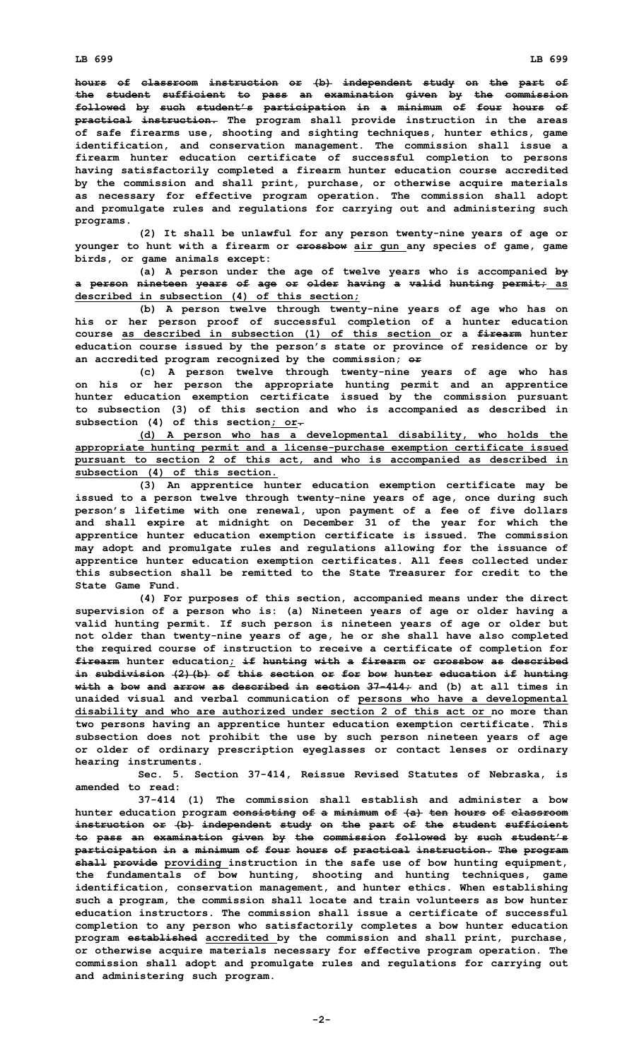**hours of classroom instruction or (b) independent study on the part of the student sufficient to pass an examination given by the commission followed by such student's participation in <sup>a</sup> minimum of four hours of practical instruction. The program shall provide instruction in the areas of safe firearms use, shooting and sighting techniques, hunter ethics, game identification, and conservation management. The commission shall issue <sup>a</sup> firearm hunter education certificate of successful completion to persons having satisfactorily completed <sup>a</sup> firearm hunter education course accredited by the commission and shall print, purchase, or otherwise acquire materials as necessary for effective program operation. The commission shall adopt and promulgate rules and regulations for carrying out and administering such programs.**

**(2) It shall be unlawful for any person twenty-nine years of age or younger to hunt with <sup>a</sup> firearm or crossbow air gun any species of game, game birds, or game animals except:**

**(a) <sup>A</sup> person under the age of twelve years who is accompanied by <sup>a</sup> person nineteen years of age or older having <sup>a</sup> valid hunting permit; as described in subsection (4) of this section;**

**(b) <sup>A</sup> person twelve through twenty-nine years of age who has on his or her person proof of successful completion of <sup>a</sup> hunter education course as described in subsection (1) of this section or <sup>a</sup> firearm hunter education course issued by the person's state or province of residence or by an accredited program recognized by the commission; or**

**(c) <sup>A</sup> person twelve through twenty-nine years of age who has on his or her person the appropriate hunting permit and an apprentice hunter education exemption certificate issued by the commission pursuant to subsection (3) of this section and who is accompanied as described in subsection (4) of this section; or.**

**(d) <sup>A</sup> person who has <sup>a</sup> developmental disability, who holds the appropriate hunting permit and <sup>a</sup> license-purchase exemption certificate issued pursuant to section 2 of this act, and who is accompanied as described in subsection (4) of this section.**

**(3) An apprentice hunter education exemption certificate may be issued to <sup>a</sup> person twelve through twenty-nine years of age, once during such person's lifetime with one renewal, upon payment of <sup>a</sup> fee of five dollars and shall expire at midnight on December 31 of the year for which the apprentice hunter education exemption certificate is issued. The commission may adopt and promulgate rules and regulations allowing for the issuance of apprentice hunter education exemption certificates. All fees collected under this subsection shall be remitted to the State Treasurer for credit to the State Game Fund.**

**(4) For purposes of this section, accompanied means under the direct supervision of <sup>a</sup> person who is: (a) Nineteen years of age or older having <sup>a</sup> valid hunting permit. If such person is nineteen years of age or older but not older than twenty-nine years of age, he or she shall have also completed the required course of instruction to receive <sup>a</sup> certificate of completion for firearm hunter education; if hunting with <sup>a</sup> firearm or crossbow as described in subdivision (2)(b) of this section or for bow hunter education if hunting with <sup>a</sup> bow and arrow as described in section 37-414; and (b) at all times in unaided visual and verbal communication of persons who have <sup>a</sup> developmental disability and who are authorized under section 2 of this act or no more than two persons having an apprentice hunter education exemption certificate. This subsection does not prohibit the use by such person nineteen years of age or older of ordinary prescription eyeglasses or contact lenses or ordinary hearing instruments.**

**Sec. 5. Section 37-414, Reissue Revised Statutes of Nebraska, is amended to read:**

**37-414 (1) The commission shall establish and administer <sup>a</sup> bow hunter education program consisting of <sup>a</sup> minimum of (a) ten hours of classroom instruction or (b) independent study on the part of the student sufficient to pass an examination given by the commission followed by such student's participation in <sup>a</sup> minimum of four hours of practical instruction. The program shall provide providing instruction in the safe use of bow hunting equipment, the fundamentals of bow hunting, shooting and hunting techniques, game identification, conservation management, and hunter ethics. When establishing such <sup>a</sup> program, the commission shall locate and train volunteers as bow hunter education instructors. The commission shall issue a certificate of successful completion to any person who satisfactorily completes <sup>a</sup> bow hunter education program established accredited by the commission and shall print, purchase, or otherwise acquire materials necessary for effective program operation. The commission shall adopt and promulgate rules and regulations for carrying out and administering such program.**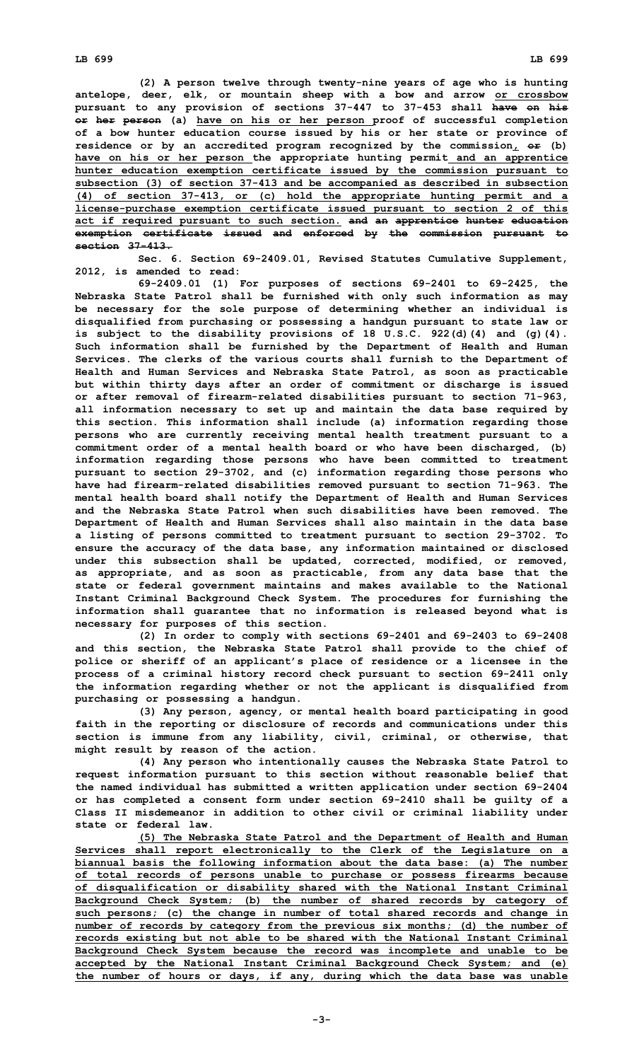**(2) <sup>A</sup> person twelve through twenty-nine years of age who is hunting antelope, deer, elk, or mountain sheep with <sup>a</sup> bow and arrow or crossbow pursuant to any provision of sections 37-447 to 37-453 shall have on his or her person (a) have on his or her person proof of successful completion of <sup>a</sup> bow hunter education course issued by his or her state or province of residence or by an accredited program recognized by the commission, or (b) have on his or her person the appropriate hunting permit and an apprentice hunter education exemption certificate issued by the commission pursuant to subsection (3) of section 37-413 and be accompanied as described in subsection (4) of section 37-413, or (c) hold the appropriate hunting permit and <sup>a</sup> license-purchase exemption certificate issued pursuant to section 2 of this act if required pursuant to such section. and an apprentice hunter education exemption certificate issued and enforced by the commission pursuant to section 37-413.**

**Sec. 6. Section 69-2409.01, Revised Statutes Cumulative Supplement, 2012, is amended to read:**

**69-2409.01 (1) For purposes of sections 69-2401 to 69-2425, the Nebraska State Patrol shall be furnished with only such information as may be necessary for the sole purpose of determining whether an individual is disqualified from purchasing or possessing <sup>a</sup> handgun pursuant to state law or is subject to the disability provisions of 18 U.S.C. 922(d)(4) and (g)(4). Such information shall be furnished by the Department of Health and Human Services. The clerks of the various courts shall furnish to the Department of Health and Human Services and Nebraska State Patrol, as soon as practicable but within thirty days after an order of commitment or discharge is issued or after removal of firearm-related disabilities pursuant to section 71-963, all information necessary to set up and maintain the data base required by this section. This information shall include (a) information regarding those persons who are currently receiving mental health treatment pursuant to <sup>a</sup> commitment order of <sup>a</sup> mental health board or who have been discharged, (b) information regarding those persons who have been committed to treatment pursuant to section 29-3702, and (c) information regarding those persons who have had firearm-related disabilities removed pursuant to section 71-963. The mental health board shall notify the Department of Health and Human Services and the Nebraska State Patrol when such disabilities have been removed. The Department of Health and Human Services shall also maintain in the data base <sup>a</sup> listing of persons committed to treatment pursuant to section 29-3702. To ensure the accuracy of the data base, any information maintained or disclosed under this subsection shall be updated, corrected, modified, or removed, as appropriate, and as soon as practicable, from any data base that the state or federal government maintains and makes available to the National Instant Criminal Background Check System. The procedures for furnishing the information shall guarantee that no information is released beyond what is necessary for purposes of this section.**

**(2) In order to comply with sections 69-2401 and 69-2403 to 69-2408 and this section, the Nebraska State Patrol shall provide to the chief of police or sheriff of an applicant's place of residence or <sup>a</sup> licensee in the process of <sup>a</sup> criminal history record check pursuant to section 69-2411 only the information regarding whether or not the applicant is disqualified from purchasing or possessing <sup>a</sup> handgun.**

**(3) Any person, agency, or mental health board participating in good faith in the reporting or disclosure of records and communications under this section is immune from any liability, civil, criminal, or otherwise, that might result by reason of the action.**

**(4) Any person who intentionally causes the Nebraska State Patrol to request information pursuant to this section without reasonable belief that the named individual has submitted <sup>a</sup> written application under section 69-2404 or has completed <sup>a</sup> consent form under section 69-2410 shall be guilty of <sup>a</sup> Class II misdemeanor in addition to other civil or criminal liability under state or federal law.**

**(5) The Nebraska State Patrol and the Department of Health and Human Services shall report electronically to the Clerk of the Legislature on <sup>a</sup> biannual basis the following information about the data base: (a) The number of total records of persons unable to purchase or possess firearms because of disqualification or disability shared with the National Instant Criminal Background Check System; (b) the number of shared records by category of such persons; (c) the change in number of total shared records and change in number of records by category from the previous six months; (d) the number of records existing but not able to be shared with the National Instant Criminal Background Check System because the record was incomplete and unable to be accepted by the National Instant Criminal Background Check System; and (e) the number of hours or days, if any, during which the data base was unable**